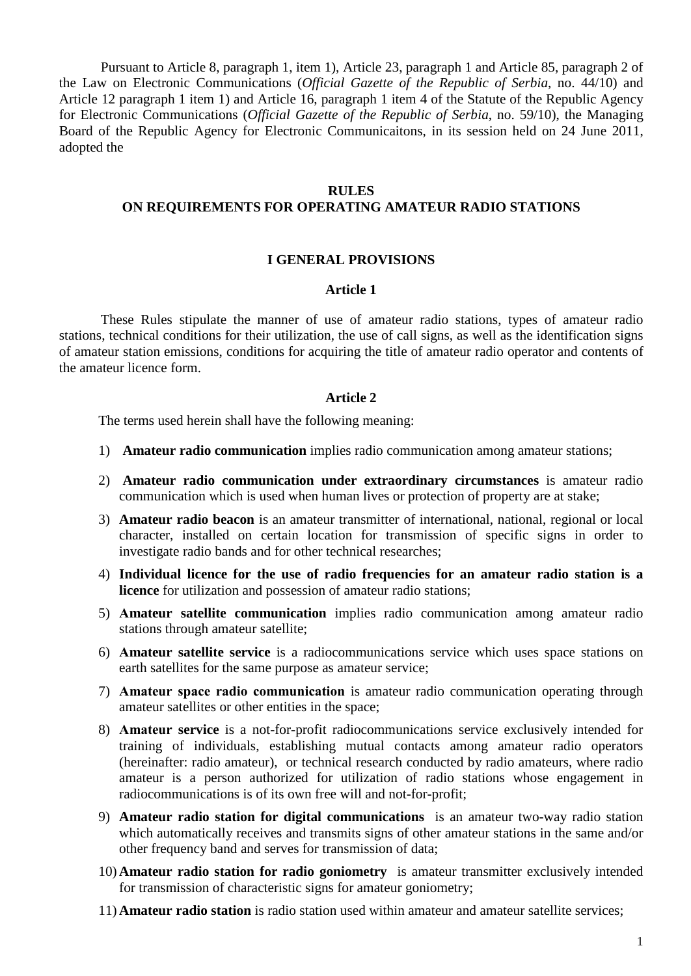Pursuant to Article 8, paragraph 1, item 1), Article 23, paragraph 1 and Article 85, paragraph 2 of the Law on Electronic Communications (*Official Gazette of the Republic of Serbia*, no. 44/10) and Article 12 paragraph 1 item 1) and Article 16, paragraph 1 item 4 of the Statute of the Republic Agency for Electronic Communications (*Official Gazette of the Republic of Serbia*, no. 59/10), the Managing Board of the Republic Agency for Electronic Communicaitons, in its session held on 24 June 2011, adopted the

#### **RULES**

# **ON REQUIREMENTS FOR OPERATING AMATEUR RADIO STATIONS**

#### **I GENERAL PROVISIONS**

## **Article 1**

These Rules stipulate the manner of use of amateur radio stations, types of amateur radio stations, technical conditions for their utilization, the use of call signs, as well as the identification signs of amateur station emissions, conditions for acquiring the title of amateur radio operator and contents of the amateur licence form.

#### **Article 2**

The terms used herein shall have the following meaning:

- 1) **Amateur radio communication** implies radio communication among amateur stations;
- 2) **Amateur radio communication under extraordinary circumstances** is amateur radio communication which is used when human lives or protection of property are at stake;
- 3) **Amateur radio beacon** is an amateur transmitter of international, national, regional or local character, installed on certain location for transmission of specific signs in order to investigate radio bands and for other technical researches;
- 4) **Individual licence for the use of radio frequencies for an amateur radio station is a licence** for utilization and possession of amateur radio stations;
- 5) **Аmateur satellite communication** implies radio communication among amateur radio stations through amateur satellite;
- 6) **Аmateur satellite service** is a radiocommunications service which uses space stations on earth satellites for the same purpose as amateur service;
- 7) **Аmateur space radio communication** is amateur radio communication operating through amateur satellites or other entities in the space;
- 8) **Аmateur service** is a not-for-profit radiocommunications service exclusively intended for training of individuals, establishing mutual contacts among amateur radio operators (hereinafter: radio amateur), or technical research conducted by radio amateurs, where radio amateur is a person authorized for utilization of radio stations whose engagement in radiocommunications is of its own free will and not-for-profit;
- 9) **Amateur radio station for digital communications** is an amateur two-way radio station which automatically receives and transmits signs of other amateur stations in the same and/or other frequency band and serves for transmission of data;
- 10) **Amateur radio station for radio goniometry** is amateur transmitter exclusively intended for transmission of characteristic signs for amateur goniometry;
- 11) **Amateur radio station** is radio station used within amateur and amateur satellite services;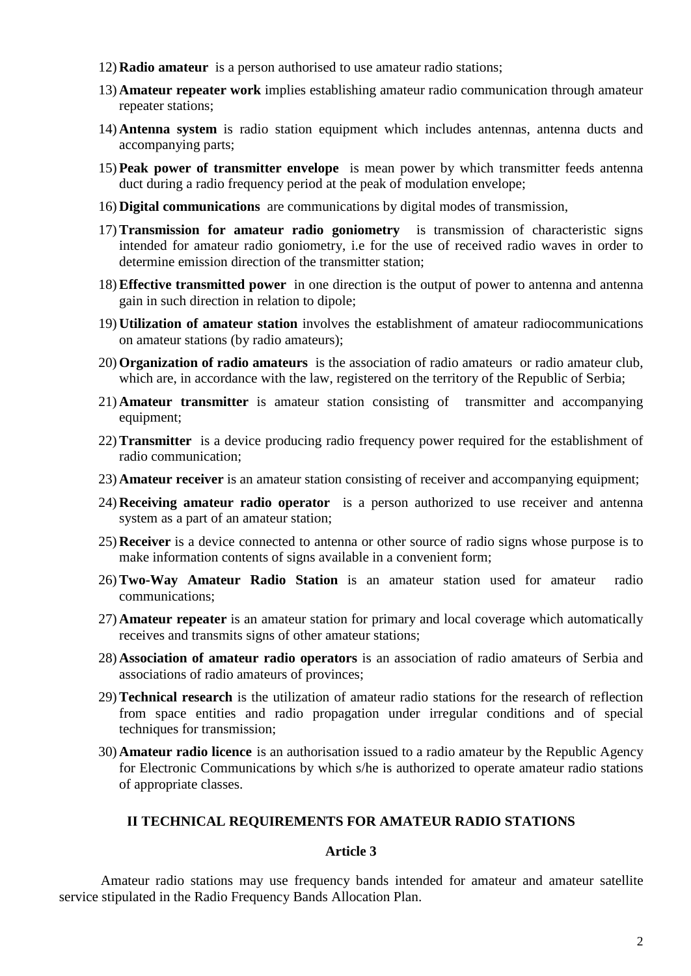- 12) **Radio amateur** is a person authorised to use amateur radio stations;
- 13) **Amateur repeater work** implies establishing amateur radio communication through amateur repeater stations;
- 14) **Antenna system** is radio station equipment which includes antennas, antenna ducts and accompanying parts;
- 15) **Peak power of transmitter envelope** is mean power by which transmitter feeds antenna duct during a radio frequency period at the peak of modulation envelope;
- 16) **Digital communications** are communications by digital modes of transmission,
- 17)**Transmission for amateur radio goniometry** is transmission of characteristic signs intended for amateur radio goniometry, i.e for the use of received radio waves in order to determine emission direction of the transmitter station;
- 18)**Effective transmitted power** in one direction is the output of power to antenna and antenna gain in such direction in relation to dipole;
- 19) **Utilization of amateur station** involves the establishment of amateur radiocommunications on amateur stations (by radio amateurs);
- 20) **Organization of radio amateurs** is the association of radio amateurs or radio amateur club, which are, in accordance with the law, registered on the territory of the Republic of Serbia;
- 21) **Amateur transmitter** is amateur station consisting of transmitter and accompanying equipment;
- 22)**Transmitter** is a device producing radio frequency power required for the establishment of radio communication;
- 23) **Amateur receiver** is an amateur station consisting of receiver and accompanying equipment;
- 24) **Receiving amateur radio operator** is a person authorized to use receiver and antenna system as a part of an amateur station;
- 25) **Receiver** is a device connected to antenna or other source of radio signs whose purpose is to make information contents of signs available in a convenient form;
- 26)**Two-Way Amateur Radio Station** is an amateur station used for amateur radio communications;
- 27) **Amateur repeater** is an amateur station for primary and local coverage which automatically receives and transmits signs of other amateur stations;
- 28) **Association of amateur radio operators** is an association of radio amateurs of Serbia and associations of radio amateurs of provinces;
- 29)**Technical research** is the utilization of amateur radio stations for the research of reflection from space entities and radio propagation under irregular conditions and of special techniques for transmission;
- 30) **Amateur radio licence** is an authorisation issued to a radio amateur by the Republic Agency for Electronic Communications by which s/he is authorized to operate amateur radio stations of appropriate classes.

# **II ТECHNICAL REQUIREMENTS FOR AMATEUR RADIO STATIONS**

## **Article 3**

Amateur radio stations may use frequency bands intended for amateur and amateur satellite service stipulated in the Radio Frequency Bands Allocation Plan.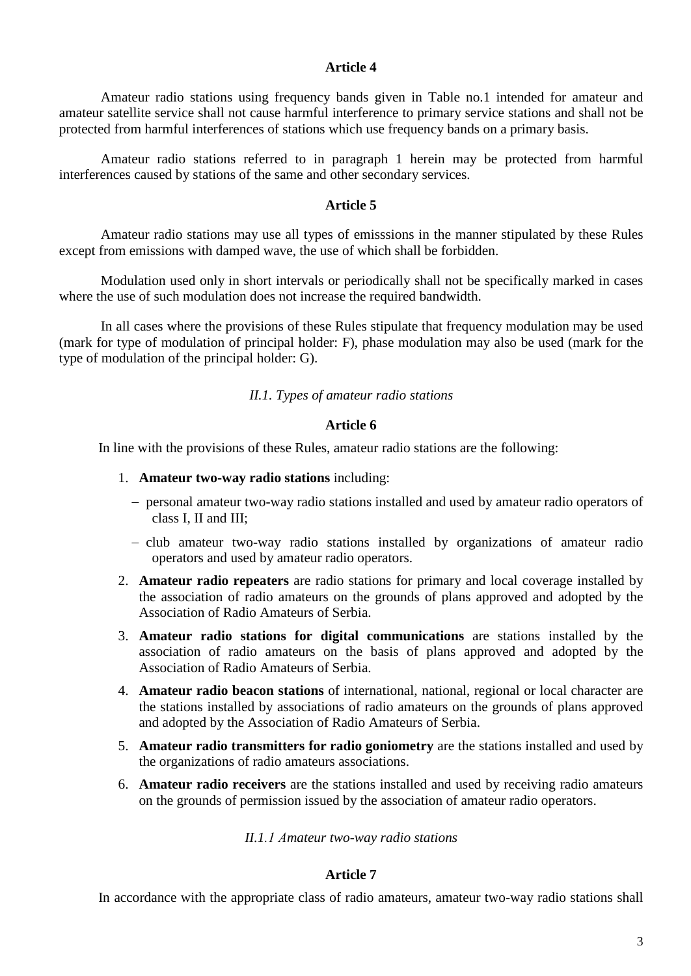Amateur radio stations using frequency bands given in Table no.1 intended for amateur and amateur satellite service shall not cause harmful interference to primary service stations and shall not be protected from harmful interferences of stations which use frequency bands on a primary basis.

Amateur radio stations referred to in paragraph 1 herein may be protected from harmful interferences caused by stations of the same and other secondary services.

## **Article 5**

Amateur radio stations may use all types of emisssions in the manner stipulated by these Rules except from emissions with damped wave, the use of which shall be forbidden.

Modulation used only in short intervals or periodically shall not be specifically marked in cases where the use of such modulation does not increase the required bandwidth.

In all cases where the provisions of these Rules stipulate that frequency modulation may be used (mark for type of modulation of principal holder: F), phase modulation may also be used (mark for the type of modulation of the principal holder: G).

## *II.1. Types of amateur radio stations*

## **Article 6**

In line with the provisions of these Rules, amateur radio stations are the following:

- 1. **Amateur two-way radio stations** including:
	- − personal amateur two-way radio stations installed and used by amateur radio operators of class I, II and III;
	- − club amateur two-way radio stations installed by organizations of amateur radio operators and used by amateur radio operators.
- 2. **Amateur radio repeaters** are radio stations for primary and local coverage installed by the association of radio amateurs on the grounds of plans approved and adopted by the Association of Radio Amateurs of Serbia.
- 3. **Amateur radio stations for digital communications** are stations installed by the association of radio amateurs on the basis of plans approved and adopted by the Association of Radio Amateurs of Serbia.
- 4. **Amateur radio beacon stations** of international, national, regional or local character are the stations installed by associations of radio amateurs on the grounds of plans approved and adopted by the Association of Radio Amateurs of Serbia.
- 5. **Amateur radio transmitters for radio goniometry** are the stations installed and used by the organizations of radio amateurs associations.
- 6. **Amateur radio receivers** are the stations installed and used by receiving radio amateurs on the grounds of permission issued by the association of amateur radio operators.

## *II.1.1 Аmateur two-way radio stations*

## **Article 7**

In accordance with the appropriate class of radio amateurs, amateur two-way radio stations shall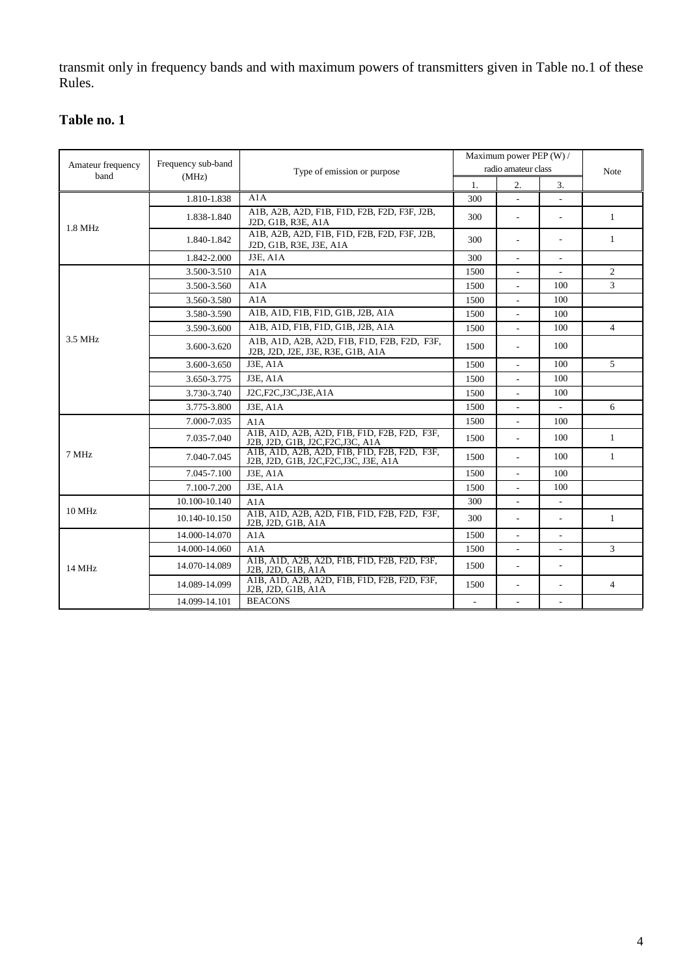transmit only in frequency bands and with maximum powers of transmitters given in Table no.1 of these Rules.

# **Таble no. 1**

|                           |                    |                                                                                        |          | Maximum power PEP (W) /  |                          |                |
|---------------------------|--------------------|----------------------------------------------------------------------------------------|----------|--------------------------|--------------------------|----------------|
| Amateur frequency<br>band | Frequency sub-band | Type of emission or purpose                                                            |          | radio amateur class      |                          | <b>Note</b>    |
|                           | (MHz)              |                                                                                        | 1.       | 2.                       | 3.                       |                |
|                           | 1.810-1.838        | A1A                                                                                    | 300      |                          |                          |                |
| 1.8 MHz                   | 1.838-1.840        | A1B, A2B, A2D, F1B, F1D, F2B, F2D, F3F, J2B,<br>J2D, G1B, R3E, A1A                     | 300      | $\overline{a}$           | ÷                        | 1              |
|                           | 1.840-1.842        | A1B, A2B, A2D, F1B, F1D, F2B, F2D, F3F, J2B,<br>J2D, G1B, R3E, J3E, A1A                | 300      | $\mathbf{r}$             | ٠                        | $\mathbf{1}$   |
|                           | 1.842-2.000        | <b>J3E, A1A</b>                                                                        | 300      | $\mathcal{L}$            |                          |                |
|                           | 3.500-3.510        | A1A                                                                                    | 1500     |                          |                          | 2              |
|                           | 3.500-3.560        | A1A                                                                                    | 1500     | $\overline{\phantom{a}}$ | 100                      | $\mathfrak{Z}$ |
|                           | 3.560-3.580        | A1A                                                                                    | 1500     | $\mathcal{L}$            | 100                      |                |
|                           | 3.580-3.590        | A1B, A1D, F1B, F1D, G1B, J2B, A1A                                                      | 1500     |                          | 100                      |                |
|                           | 3.590-3.600        | A1B, A1D, F1B, F1D, G1B, J2B, A1A                                                      | 1500     | $\frac{1}{2}$            | 100                      | $\overline{4}$ |
| 3.5 MHz                   | 3.600-3.620        | A1B, A1D, A2B, A2D, F1B, F1D, F2B, F2D, F3F,<br>J2B, J2D, J2E, J3E, R3E, G1B, A1A      | 1500     | ÷.                       | 100                      |                |
|                           | 3.600-3.650        | J3E, A1A                                                                               | 1500     |                          | 100                      | 5              |
|                           | 3.650-3.775        | <b>J3E, A1A</b>                                                                        | 1500     | $\overline{\phantom{a}}$ | 100                      |                |
|                           | 3.730-3.740        | J2C,F2C,J3C,J3E,A1A                                                                    | 1500     | $\overline{a}$           | 100                      |                |
|                           | 3.775-3.800        | <b>J3E, A1A</b>                                                                        | 1500     | $\overline{a}$           | $\overline{\phantom{a}}$ | 6              |
|                           | 7.000-7.035        | A1A                                                                                    | 1500     | $\overline{\phantom{a}}$ | 100                      |                |
|                           | 7.035-7.040        | A1B, A1D, A2B, A2D, F1B, F1D, F2B, F2D, F3F,<br>J2B, J2D, G1B, J2C, F2C, J3C, A1A      | 1500     | $\overline{\phantom{a}}$ | 100                      | $\mathbf{1}$   |
| 7 MHz                     | 7.040-7.045        | A1B, A1D, A2B, A2D, F1B, F1D, F2B, F2D, F3F,<br>J2B, J2D, G1B, J2C, F2C, J3C, J3E, A1A | 1500     | ÷.                       | 100                      | 1              |
|                           | 7.045-7.100        | <b>J3E, A1A</b>                                                                        | 1500     | $\mathbf{r}$             | 100                      |                |
|                           | 7.100-7.200        | <b>J3E, A1A</b>                                                                        | 1500     |                          | 100                      |                |
|                           | 10.100-10.140      | A1A                                                                                    | 300      | $\overline{\phantom{a}}$ | $\overline{\phantom{a}}$ |                |
| <b>10 MHz</b>             | 10.140-10.150      | A1B, A1D, A2B, A2D, F1B, F1D, F2B, F2D, F3F,<br>J2B, J2D, G1B, A1A                     | 300      | $\overline{\phantom{a}}$ | $\overline{\phantom{a}}$ | 1              |
|                           | 14.000-14.070      | A1A                                                                                    | 1500     | $\overline{a}$           |                          |                |
|                           | 14.000-14.060      | A1A                                                                                    | 1500     | $\overline{\phantom{a}}$ | ÷,                       | $\overline{3}$ |
| 14 MHz                    | 14.070-14.089      | A1B, A1D, A2B, A2D, F1B, F1D, F2B, F2D, F3F,<br>J2B, J2D, G1B, A1A                     | 1500     | $\overline{\phantom{a}}$ | $\overline{\phantom{a}}$ |                |
|                           | 14.089-14.099      | A1B, A1D, A2B, A2D, F1B, F1D, F2B, F2D, F3F,<br>J2B, J2D, G1B, A1A                     | 1500     | $\overline{\phantom{a}}$ | $\overline{\phantom{a}}$ | $\overline{4}$ |
|                           | 14.099-14.101      | <b>BEACONS</b>                                                                         | $\omega$ | $\mathcal{L}$            | $\overline{\phantom{a}}$ |                |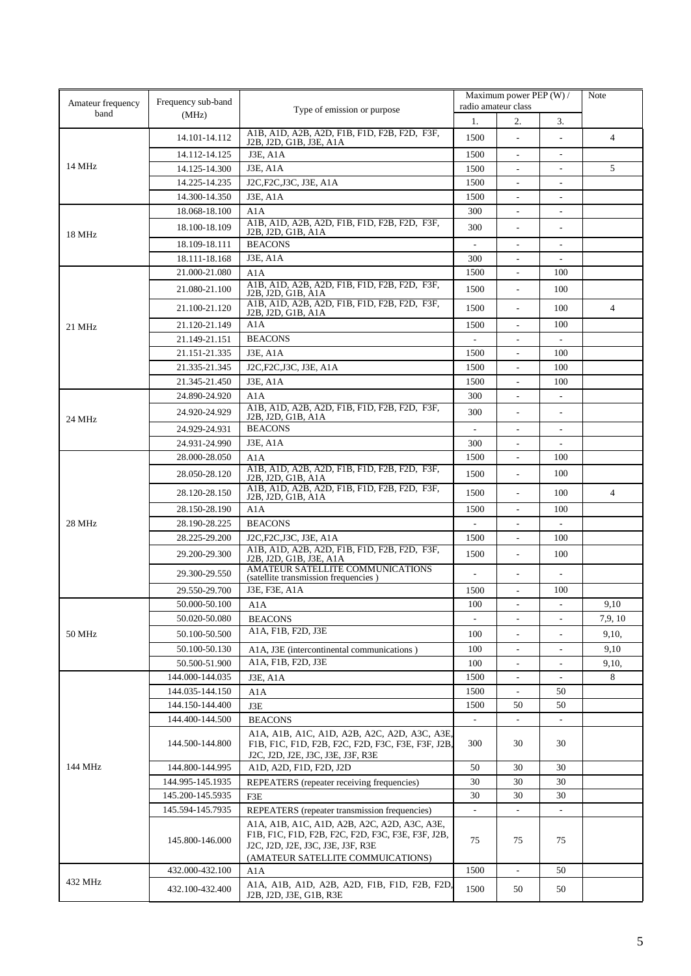| Amateur frequency | Maximum power PEP (W) /<br>Frequency sub-band<br>radio amateur class                                                    |                                                                                        | Note                            |                                                      |                                                      |                |
|-------------------|-------------------------------------------------------------------------------------------------------------------------|----------------------------------------------------------------------------------------|---------------------------------|------------------------------------------------------|------------------------------------------------------|----------------|
| band              | (MHz)                                                                                                                   | Type of emission or purpose                                                            | 1.                              | 2.                                                   | 3.                                                   |                |
|                   | 14.101-14.112                                                                                                           | A1B, A1D, A2B, A2D, F1B, F1D, F2B, F2D, F3F,                                           | 1500                            | $\overline{\phantom{a}}$                             | $\overline{\phantom{a}}$                             | $\overline{4}$ |
|                   |                                                                                                                         | J2B, J2D, G1B, J3E, A1A<br><b>J3E, A1A</b>                                             |                                 |                                                      |                                                      |                |
| 14 MHz            | 14.112-14.125                                                                                                           | J3E, A1A                                                                               | 1500                            | $\blacksquare$                                       | $\overline{\phantom{a}}$<br>$\overline{\phantom{a}}$ | 5              |
|                   | 14.125-14.300<br>14.225-14.235                                                                                          | J2C, F2C, J3C, J3E, A1A                                                                | 1500<br>1500                    | $\overline{\phantom{a}}$<br>$\overline{\phantom{a}}$ | $\overline{\phantom{a}}$                             |                |
|                   | 14.300-14.350                                                                                                           | <b>J3E, A1A</b>                                                                        | 1500                            | $\overline{\phantom{a}}$                             | $\overline{\phantom{0}}$                             |                |
|                   | 18.068-18.100                                                                                                           | A1A                                                                                    | 300                             | $\overline{\phantom{a}}$                             | ٠                                                    |                |
|                   |                                                                                                                         | A1B, A1D, A2B, A2D, F1B, F1D, F2B, F2D, F3F,                                           |                                 |                                                      |                                                      |                |
| 18 MHz            | 18.100-18.109                                                                                                           | J2B, J2D, G1B, A1A                                                                     | 300                             | $\overline{a}$                                       | $\overline{\phantom{a}}$                             |                |
|                   | 18.109-18.111                                                                                                           | <b>BEACONS</b>                                                                         | $\overline{\phantom{a}}$        | $\overline{\phantom{a}}$                             | $\overline{\phantom{a}}$                             |                |
|                   | 18.111-18.168                                                                                                           | J3E, A1A                                                                               | 300                             | $\overline{\phantom{a}}$                             | $\overline{\phantom{a}}$                             |                |
|                   | 21.000-21.080                                                                                                           | A1A<br>A1B, A1D, A2B, A2D, F1B, F1D, F2B, F2D, F3F,                                    | 1500                            | $\blacksquare$                                       | 100                                                  |                |
|                   | 21.080-21.100                                                                                                           | J2B, J2D, G1B, A1A                                                                     | 1500                            | $\overline{\phantom{a}}$                             | 100                                                  |                |
|                   | 21.100-21.120                                                                                                           | A1B, A1D, A2B, A2D, F1B, F1D, F2B, F2D, F3F,<br>J2B, J2D, G1B, A1A                     | 1500                            | $\overline{\phantom{a}}$                             | 100                                                  | $\overline{4}$ |
| 21 MHz            | 21.120-21.149                                                                                                           | A1A                                                                                    | 1500                            | ÷,                                                   | 100                                                  |                |
|                   | 21.149-21.151                                                                                                           | <b>BEACONS</b>                                                                         |                                 |                                                      |                                                      |                |
|                   | 21.151-21.335                                                                                                           | <b>J3E, A1A</b>                                                                        | 1500                            |                                                      | 100                                                  |                |
|                   | 21.335-21.345                                                                                                           | J2C, F2C, J3C, J3E, A1A                                                                | 1500                            |                                                      | 100                                                  |                |
|                   | 21.345-21.450                                                                                                           | J3E, A1A                                                                               | 1500                            |                                                      | 100                                                  |                |
|                   | 24.890-24.920                                                                                                           | A1A                                                                                    | 300                             | $\overline{\phantom{a}}$                             | $\overline{a}$                                       |                |
|                   | 24.920-24.929                                                                                                           | A1B, A1D, A2B, A2D, F1B, F1D, F2B, F2D, F3F,<br>J2B, J2D, G1B, A1A                     | 300                             | $\overline{\phantom{a}}$                             | $\overline{\phantom{a}}$                             |                |
| 24 MHz            | 24.929-24.931                                                                                                           | <b>BEACONS</b>                                                                         |                                 | $\overline{a}$                                       | $\sim$                                               |                |
|                   | 24.931-24.990                                                                                                           | J3E, A1A                                                                               | 300                             | ÷                                                    | ÷                                                    |                |
|                   | 28.000-28.050                                                                                                           | A1A                                                                                    | 1500                            | $\overline{\phantom{a}}$                             | 100                                                  |                |
|                   | 28.050-28.120                                                                                                           | A1B, A1D, A2B, A2D, F1B, F1D, F2B, F2D, F3F,<br>J2B, J2D, G1B, A1A                     | 1500                            | ÷,                                                   | 100                                                  |                |
|                   | A1B, A1D, A2B, A2D, F1B, F1D, F2B, F2D, F3F,<br>28.120-28.150<br>1500<br>$\overline{\phantom{a}}$<br>J2B, J2D, G1B, A1A |                                                                                        | 100                             | $\overline{4}$                                       |                                                      |                |
| 28 MHz            | 28.150-28.190                                                                                                           | A1A                                                                                    | 1500                            | $\frac{1}{2}$                                        | 100                                                  |                |
|                   | 28.190-28.225                                                                                                           | <b>BEACONS</b>                                                                         | ٠                               | $\overline{\phantom{a}}$                             | ٠                                                    |                |
|                   | 28.225-29.200                                                                                                           | J2C, F2C, J3C, J3E, A1A                                                                | 1500                            | $\overline{\phantom{a}}$                             | 100                                                  |                |
|                   | 29.200-29.300                                                                                                           | A1B, A1D, A2B, A2D, F1B, F1D, F2B, F2D, F3F,                                           | 1500                            | $\overline{\phantom{a}}$                             | 100                                                  |                |
|                   | 29.300-29.550                                                                                                           | J2B, J2D, G1B, J3E, A1A<br>AMATEUR SATELLITE COMMUNICATIONS                            | $\overline{\phantom{a}}$        | $\overline{\phantom{a}}$                             | $\overline{\phantom{a}}$                             |                |
|                   |                                                                                                                         | (satellite transmission frequencies)                                                   |                                 |                                                      |                                                      |                |
|                   | 29.550-29.700<br>50.000-50.100                                                                                          | J3E, F3E, A1A                                                                          | 1500                            | $\overline{a}$                                       | 100                                                  | 9.10           |
|                   | 50.020-50.080                                                                                                           | A1A<br><b>BEACONS</b>                                                                  | 100<br>$\overline{\phantom{a}}$ | $\overline{\phantom{a}}$                             | $\overline{\phantom{a}}$                             | 7.9, 10        |
|                   | 50.100-50.500                                                                                                           | A1A, F1B, F2D, J3E                                                                     |                                 |                                                      |                                                      |                |
| 50 MHz            |                                                                                                                         |                                                                                        | 100                             | $\overline{\phantom{a}}$                             | ٠                                                    | 9,10,          |
|                   | 50.100-50.130<br>50.500-51.900                                                                                          | A1A, J3E (intercontinental communications)<br>A1A, F1B, F2D, J3E                       | 100<br>100                      | $\overline{\phantom{a}}$                             |                                                      | 9,10           |
|                   | 144.000-144.035                                                                                                         | J3E, A1A                                                                               | 1500                            | $\overline{\phantom{a}}$                             |                                                      | 9,10,<br>8     |
|                   | 144.035-144.150                                                                                                         |                                                                                        | 1500                            |                                                      | 50                                                   |                |
|                   | 144.150-144.400                                                                                                         | A1A<br>J3E                                                                             | 1500                            | 50                                                   | 50                                                   |                |
|                   | 144.400-144.500                                                                                                         | <b>BEACONS</b>                                                                         | $\blacksquare$                  |                                                      |                                                      |                |
|                   |                                                                                                                         | A1A, A1B, A1C, A1D, A2B, A2C, A2D, A3C, A3E,                                           |                                 |                                                      |                                                      |                |
|                   | 144.500-144.800                                                                                                         | F1B, F1C, F1D, F2B, F2C, F2D, F3C, F3E, F3F, J2B,                                      | 300                             | 30                                                   | 30                                                   |                |
| 144 MHz           | 144.800-144.995                                                                                                         | J2C, J2D, J2E, J3C, J3E, J3F, R3E<br>A1D, A2D, F1D, F2D, J2D                           | 50                              | 30                                                   | 30                                                   |                |
|                   | 144.995-145.1935                                                                                                        | REPEATERS (repeater receiving frequencies)                                             | 30                              | 30                                                   | 30                                                   |                |
|                   | 145.200-145.5935                                                                                                        | F3E                                                                                    | 30                              | 30                                                   | 30                                                   |                |
|                   | 145.594-145.7935                                                                                                        | REPEATERS (repeater transmission frequencies)                                          |                                 |                                                      |                                                      |                |
|                   |                                                                                                                         | A1A, A1B, A1C, A1D, A2B, A2C, A2D, A3C, A3E,                                           |                                 |                                                      |                                                      |                |
|                   | 145.800-146.000                                                                                                         | F1B, F1C, F1D, F2B, F2C, F2D, F3C, F3E, F3F, J2B,<br>J2C, J2D, J2E, J3C, J3E, J3F, R3E | 75                              | 75                                                   | 75                                                   |                |
|                   |                                                                                                                         | (AMATEUR SATELLITE COMMUICATIONS)                                                      |                                 |                                                      |                                                      |                |
|                   | 432.000-432.100                                                                                                         | A1A                                                                                    | 1500                            | $\overline{\phantom{a}}$                             | 50                                                   |                |
| 432 MHz           | 432.100-432.400                                                                                                         | A1A, A1B, A1D, A2B, A2D, F1B, F1D, F2B, F2D,                                           | 1500                            | 50                                                   | 50                                                   |                |
|                   |                                                                                                                         | J2B, J2D, J3E, G1B, R3E                                                                |                                 |                                                      |                                                      |                |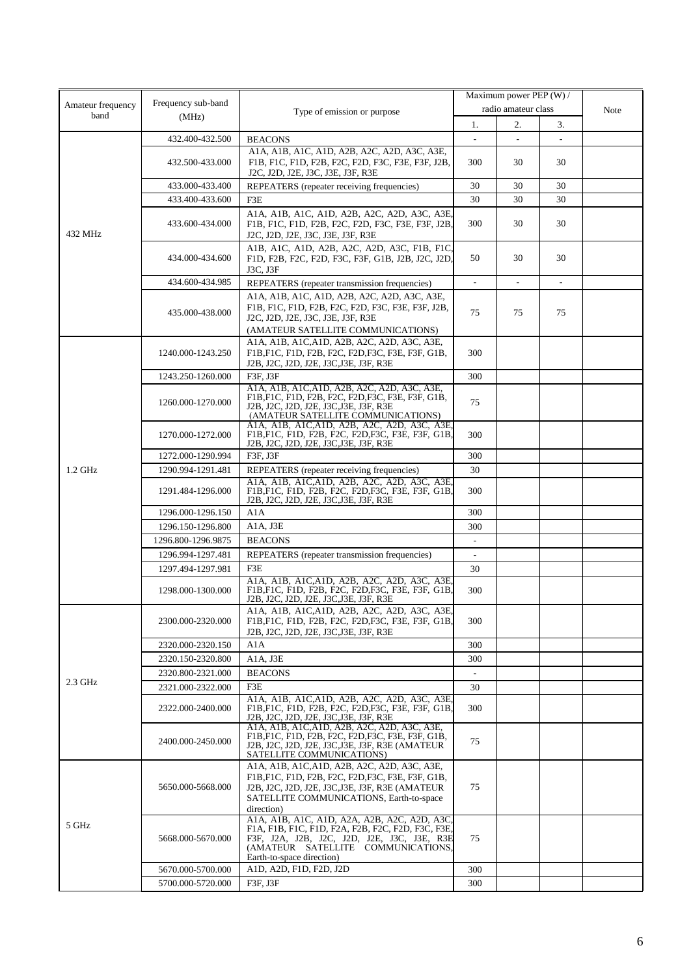|                           | Frequency sub-band |                                                                                                                                                                                                                     |     | Maximum power PEP (W) / |    |      |  |
|---------------------------|--------------------|---------------------------------------------------------------------------------------------------------------------------------------------------------------------------------------------------------------------|-----|-------------------------|----|------|--|
| Amateur frequency<br>band | (MHz)              | Type of emission or purpose                                                                                                                                                                                         |     | radio amateur class     |    | Note |  |
|                           |                    |                                                                                                                                                                                                                     | 1.  | 2.                      | 3. |      |  |
|                           | 432.400-432.500    | <b>BEACONS</b>                                                                                                                                                                                                      |     |                         |    |      |  |
|                           | 432.500-433.000    | A1A, A1B, A1C, A1D, A2B, A2C, A2D, A3C, A3E,<br>F1B, F1C, F1D, F2B, F2C, F2D, F3C, F3E, F3F, J2B,<br>J2C, J2D, J2E, J3C, J3E, J3F, R3E                                                                              | 300 | 30                      | 30 |      |  |
|                           | 433.000-433.400    | REPEATERS (repeater receiving frequencies)                                                                                                                                                                          | 30  | 30                      | 30 |      |  |
|                           | 433.400-433.600    | F3E                                                                                                                                                                                                                 | 30  | 30                      | 30 |      |  |
| 432 MHz                   | 433.600-434.000    | A1A, A1B, A1C, A1D, A2B, A2C, A2D, A3C, A3E,<br>F1B, F1C, F1D, F2B, F2C, F2D, F3C, F3E, F3F, J2B,<br>J2C, J2D, J2E, J3C, J3E, J3F, R3E                                                                              | 300 | 30                      | 30 |      |  |
|                           | 434.000-434.600    | A1B, A1C, A1D, A2B, A2C, A2D, A3C, F1B, F1C,<br>F1D, F2B, F2C, F2D, F3C, F3F, G1B, J2B, J2C, J2D,<br>J3C, J3F                                                                                                       | 50  | 30                      | 30 |      |  |
|                           | 434.600-434.985    | REPEATERS (repeater transmission frequencies)                                                                                                                                                                       |     |                         | ٠  |      |  |
|                           | 435.000-438.000    | A1A, A1B, A1C, A1D, A2B, A2C, A2D, A3C, A3E,<br>F1B, F1C, F1D, F2B, F2C, F2D, F3C, F3E, F3F, J2B,<br>J2C, J2D, J2E, J3C, J3E, J3F, R3E<br>(AMATEUR SATELLITE COMMUNICATIONS)                                        | 75  | 75                      | 75 |      |  |
|                           | 1240.000-1243.250  | A1A, A1B, A1C, A1D, A2B, A2C, A2D, A3C, A3E,<br>F1B, F1C, F1D, F2B, F2C, F2D, F3C, F3E, F3F, G1B,<br>J2B, J2C, J2D, J2E, J3C, J3E, J3F, R3E                                                                         | 300 |                         |    |      |  |
|                           | 1243.250-1260.000  | F3F, J3F                                                                                                                                                                                                            | 300 |                         |    |      |  |
|                           | 1260.000-1270.000  | A1A, A1B, A1C, A1D, A2B, A2C, A2D, A3C, A3E,<br>F1B, F1C, F1D, F2B, F2C, F2D, F3C, F3E, F3F, G1B,<br>J2B, J2C, J2D, J2E, J3C, J3E, J3F, R3E<br>(AMATEUR SATELLITE COMMUNICATIONS)                                   | 75  |                         |    |      |  |
|                           | 1270.000-1272.000  | A1A, A1B, A1C, A1D, A2B, A2C, A2D, A3C, A3E,<br>F1B, F1C, F1D, F2B, F2C, F2D, F3C, F3E, F3F, G1B,<br>J2B, J2C, J2D, J2E, J3C, J3E, J3F, R3E                                                                         | 300 |                         |    |      |  |
|                           | 1272.000-1290.994  | F3F, J3F                                                                                                                                                                                                            | 300 |                         |    |      |  |
| 1.2 GHz                   | 1290.994-1291.481  | REPEATERS (repeater receiving frequencies)                                                                                                                                                                          | 30  |                         |    |      |  |
|                           | 1291.484-1296.000  | A1A, A1B, A1C, A1D, A2B, A2C, A2D, A3C, A3E,<br>F1B, F1C, F1D, F2B, F2C, F2D, F3C, F3E, F3F, G1B,<br>J2B, J2C, J2D, J2E, J3C, J3E, J3F, R3E                                                                         | 300 |                         |    |      |  |
|                           | 1296.000-1296.150  | A1A                                                                                                                                                                                                                 | 300 |                         |    |      |  |
|                           | 1296.150-1296.800  | A1A, J3E                                                                                                                                                                                                            | 300 |                         |    |      |  |
|                           | 1296.800-1296.9875 | <b>BEACONS</b>                                                                                                                                                                                                      |     |                         |    |      |  |
|                           | 1296.994-1297.481  | REPEATERS (repeater transmission frequencies)                                                                                                                                                                       |     |                         |    |      |  |
|                           | 1297.494-1297.981  | F3E                                                                                                                                                                                                                 | 30  |                         |    |      |  |
|                           | 1298.000-1300.000  | A1A, A1B, A1C, A1D, A2B, A2C, A2D, A3C, A3E.<br>F1B, F1C, F1D, F2B, F2C, F2D, F3C, F3E, F3F, G1B,<br>J2B, J2C, J2D, J2E, J3C, J3E, J3F, R3E                                                                         | 300 |                         |    |      |  |
|                           | 2300.000-2320.000  | A1A, A1B, A1C, A1D, A2B, A2C, A2D, A3C, A3E,<br>F1B, F1C, F1D, F2B, F2C, F2D, F3C, F3E, F3F, G1B,<br>J2B, J2C, J2D, J2E, J3C, J3E, J3F, R3E                                                                         | 300 |                         |    |      |  |
| $2.3$ GHz                 | 2320.000-2320.150  | A1A                                                                                                                                                                                                                 | 300 |                         |    |      |  |
|                           | 2320.150-2320.800  | A1A, J3E                                                                                                                                                                                                            | 300 |                         |    |      |  |
|                           | 2320.800-2321.000  | <b>BEACONS</b>                                                                                                                                                                                                      |     |                         |    |      |  |
|                           | 2321.000-2322.000  | F3E                                                                                                                                                                                                                 | 30  |                         |    |      |  |
|                           | 2322.000-2400.000  | A1A, A1B, A1C, A1D, A2B, A2C, A2D, A3C, A3E.<br>F1B, F1C, F1D, F2B, F2C, F2D, F3C, F3E, F3F, G1B,<br>J2B, J2C, J2D, J2E, J3C, J3E, J3F, R3E                                                                         | 300 |                         |    |      |  |
|                           | 2400.000-2450.000  | A1A, A1B, A1C, A1D, A2B, A2C, A2D, A3C, A3E,<br>F1B, F1C, F1D, F2B, F2C, F2D, F3C, F3E, F3F, G1B,<br>J2B, J2C, J2D, J2E, J3C, J3E, J3F, R3E (AMATEUR<br>SATELLITE COMMUNICATIONS)                                   | 75  |                         |    |      |  |
|                           | 5650.000-5668.000  | A1A, A1B, A1C, A1D, A2B, A2C, A2D, A3C, A3E,<br>F1B, F1C, F1D, F2B, F2C, F2D, F3C, F3E, F3F, G1B,<br>J2B, J2C, J2D, J2E, J3C, J3E, J3F, R3E (AMATEUR<br>SATELLITE COMMUNICATIONS, Earth-to-space<br>direction)      | 75  |                         |    |      |  |
| 5 GHz                     | 5668.000-5670.000  | A1A, A1B, A1C, A1D, A2A, A2B, A2C, A2D, A3C.<br>F1A, F1B, F1C, F1D, F2A, F2B, F2C, F2D, F3C, F3E,<br>F3F, J2A, J2B, J2C, J2D, J2E, J3C, J3E, R3E<br>(AMATEUR SATELLITE COMMUNICATIONS,<br>Earth-to-space direction) | 75  |                         |    |      |  |
|                           | 5670.000-5700.000  | A1D, A2D, F1D, F2D, J2D                                                                                                                                                                                             | 300 |                         |    |      |  |
|                           | 5700.000-5720.000  | F3F, J3F                                                                                                                                                                                                            | 300 |                         |    |      |  |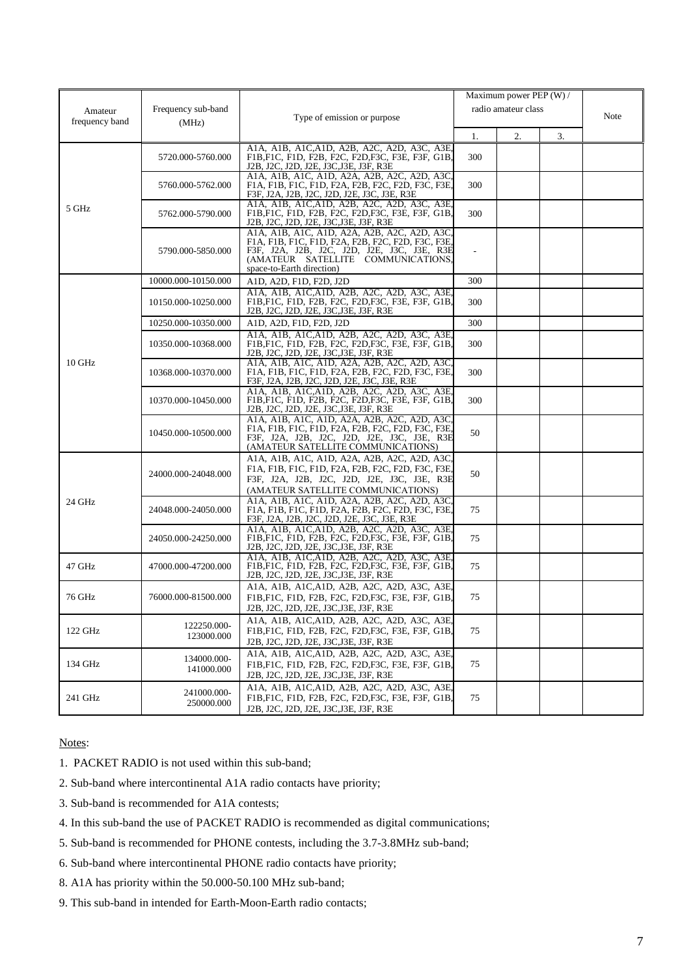|                |                           |                                                                                                                                                                                                                    |     | Maximum power PEP (W) / |    |      |
|----------------|---------------------------|--------------------------------------------------------------------------------------------------------------------------------------------------------------------------------------------------------------------|-----|-------------------------|----|------|
| Amateur        | Frequency sub-band        |                                                                                                                                                                                                                    |     | radio amateur class     |    |      |
| frequency band | (MHz)                     | Type of emission or purpose                                                                                                                                                                                        |     |                         |    | Note |
|                |                           |                                                                                                                                                                                                                    | 1.  | 2.                      | 3. |      |
|                | 5720.000-5760.000         | A1A, A1B, A1C, A1D, A2B, A2C, A2D, A3C, A3E,<br>F1B.F1C, F1D, F2B, F2C, F2D.F3C, F3E, F3F, G1B.<br>J2B, J2C, J2D, J2E, J3C, J3E, J3F, R3E                                                                          | 300 |                         |    |      |
|                | 5760.000-5762.000         | A1A, A1B, A1C, A1D, A2A, A2B, A2C, A2D, A3C<br>F1A, F1B, F1C, F1D, F2A, F2B, F2C, F2D, F3C, F3E,<br>F3F, J2A, J2B, J2C, J2D, J2E, J3C, J3E, R3E                                                                    | 300 |                         |    |      |
| 5 GHz          | 5762.000-5790.000         | A1A, A1B, A1C, A1D, A2B, A2C, A2D, A3C, A3E.<br>F1B, F1C, F1D, F2B, F2C, F2D, F3C, F3E, F3F, G1B,<br>J2B, J2C, J2D, J2E, J3C, J3E, J3F, R3E                                                                        | 300 |                         |    |      |
|                | 5790.000-5850.000         | A1A, A1B, A1C, A1D, A2A, A2B, A2C, A2D, A3C<br>F1A, F1B, F1C, F1D, F2A, F2B, F2C, F2D, F3C, F3E,<br>F3F, J2A, J2B, J2C, J2D, J2E, J3C, J3E, R3E<br>(AMATEUR SATELLITE COMMUNICATIONS,<br>space-to-Earth direction) |     |                         |    |      |
|                | 10000.000-10150.000       | A1D, A2D, F1D, F2D, J2D                                                                                                                                                                                            | 300 |                         |    |      |
|                | 10150.000-10250.000       | A1A, A1B, A1C, A1D, A2B, A2C, A2D, A3C, A3E.<br>F1B, F1C, F1D, F2B, F2C, F2D, F3C, F3E, F3F, G1B,<br>J2B, J2C, J2D, J2E, J3C, J3E, J3F, R3E                                                                        | 300 |                         |    |      |
|                | 10250.000-10350.000       | A1D, A2D, F1D, F2D, J2D                                                                                                                                                                                            | 300 |                         |    |      |
|                | 10350.000-10368.000       | A1A, A1B, A1C, A1D, A2B, A2C, A2D, A3C, A3E.<br>F1B, F1C, F1D, F2B, F2C, F2D, F3C, F3E, F3F, G1B,<br>J2B, J2C, J2D, J2E, J3C, J3E, J3F, R3E                                                                        | 300 |                         |    |      |
| 10 GHz         | 10368.000-10370.000       | A1A, A1B, A1C, A1D, A2A, A2B, A2C, A2D, A3C<br>F1A, F1B, F1C, F1D, F2A, F2B, F2C, F2D, F3C, F3E,<br>F3F, J2A, J2B, J2C, J2D, J2E, J3C, J3E, R3E                                                                    | 300 |                         |    |      |
|                | 10370.000-10450.000       | A1A, A1B, A1C, A1D, A2B, A2C, A2D, A3C, A3E,<br>F1B, F1C, F1D, F2B, F2C, F2D, F3C, F3E, F3F, G1B,<br>J2B, J2C, J2D, J2E, J3C, J3E, J3F, R3E                                                                        | 300 |                         |    |      |
|                | 10450.000-10500.000       | A1A, A1B, A1C, A1D, A2A, A2B, A2C, A2D, A3C<br>F1A, F1B, F1C, F1D, F2A, F2B, F2C, F2D, F3C, F3E,<br>F3F, J2A, J2B, J2C, J2D, J2E, J3C, J3E, R3E<br>(AMATEUR SATELLITE COMMUNICATIONS)                              | 50  |                         |    |      |
|                | 24000.000-24048.000       | A1A, A1B, A1C, A1D, A2A, A2B, A2C, A2D, A3C,<br>F1A, F1B, F1C, F1D, F2A, F2B, F2C, F2D, F3C, F3E,<br>F3F, J2A, J2B, J2C, J2D, J2E, J3C, J3E, R3E<br>(AMATEUR SATELLITE COMMUNICATIONS)                             | 50  |                         |    |      |
| 24 GHz         | 24048.000-24050.000       | A1A, A1B, A1C, A1D, A2A, A2B, A2C, A2D, A3C,<br>F1A, F1B, F1C, F1D, F2A, F2B, F2C, F2D, F3C, F3E,<br>F3F, J2A, J2B, J2C, J2D, J2E, J3C, J3E, R3E                                                                   | 75  |                         |    |      |
|                | 24050.000-24250.000       | A1A, A1B, A1C, A1D, A2B, A2C, A2D, A3C, A3E,<br>F1B, F1C, F1D, F2B, F2C, F2D, F3C, F3E, F3F, G1B,<br>J2B, J2C, J2D, J2E, J3C, J3E, J3F, R3E                                                                        | 75  |                         |    |      |
| 47 GHz         | 47000.000-47200.000       | A1A, A1B, A1C, A1D, A2B, A2C, A2D, A3C, A3E.<br>F1B, F1C, F1D, F2B, F2C, F2D, F3C, F3E, F3F, G1B,<br>J2B, J2C, J2D, J2E, J3C, J3E, J3F, R3E                                                                        | 75  |                         |    |      |
| 76 GHz         | 76000.000-81500.000       | A1A, A1B, A1C, A1D, A2B, A2C, A2D, A3C, A3E,<br>F1B, F1C, F1D, F2B, F2C, F2D, F3C, F3E, F3F, G1B,<br>J2B, J2C, J2D, J2E, J3C, J3E, J3F, R3E                                                                        | 75  |                         |    |      |
| 122 GHz        | 122250.000-<br>123000.000 | A1A, A1B, A1C, A1D, A2B, A2C, A2D, A3C, A3E,<br>F1B, F1C, F1D, F2B, F2C, F2D, F3C, F3E, F3F, G1B,<br>J2B, J2C, J2D, J2E, J3C, J3E, J3F, R3E                                                                        | 75  |                         |    |      |
| 134 GHz        | 134000.000-<br>141000.000 | A1A, A1B, A1C, A1D, A2B, A2C, A2D, A3C, A3E,<br>F1B, F1C, F1D, F2B, F2C, F2D, F3C, F3E, F3F, G1B,<br>J2B, J2C, J2D, J2E, J3C, J3E, J3F, R3E                                                                        | 75  |                         |    |      |
| 241 GHz        | 241000.000-<br>250000.000 | A1A, A1B, A1C, A1D, A2B, A2C, A2D, A3C, A3E,<br>F1B, F1C, F1D, F2B, F2C, F2D, F3C, F3E, F3F, G1B,<br>J2B, J2C, J2D, J2E, J3C, J3E, J3F, R3E                                                                        | 75  |                         |    |      |

Notes:

1. PACKET RADIO is not used within this sub-band;

- 2. Sub-band where intercontinental A1A radio contacts have priority;
- 3. Sub-band is recommended for A1A contests;
- 4. In this sub-band the use of PACKET RADIO is recommended as digital communications;
- 5. Sub-band is recommended for PHONE contests, including the 3.7-3.8MHz sub-band;
- 6. Sub-band where intercontinental PHONE radio contacts have priority;
- 8. A1A has priority within the 50.000-50.100 MHz sub-band;
- 9. This sub-band in intended for Earth-Moon-Earth radio contacts;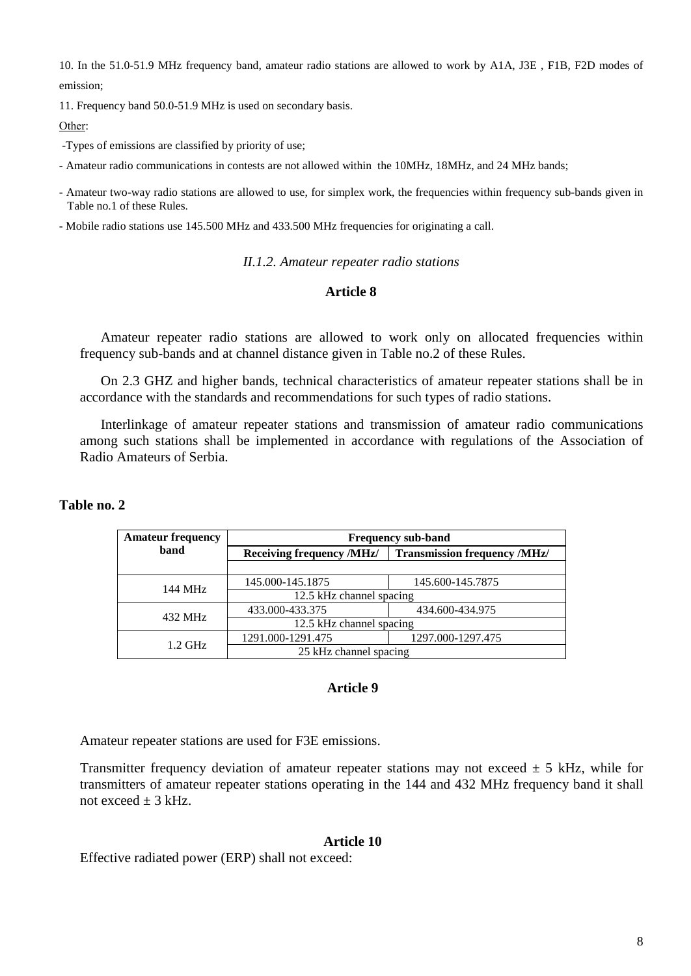10. In the 51.0-51.9 MHz frequency band, amateur radio stations are allowed to work by A1A, J3E , F1B, F2D modes of emission;

11. Frequency band 50.0-51.9 MHz is used on secondary basis.

Оther:

-Types of emissions are classified by priority of use;

- Amateur radio communications in contests are not allowed within the 10MHz, 18MHz, and 24 MHz bands;

- Amateur two-way radio stations are allowed to use, for simplex work, the frequencies within frequency sub-bands given in Table no.1 of these Rules.

- Mobile radio stations use 145.500 MHz and 433.500 MHz frequencies for originating a call.

*II.1.2. Amateur repeater radio stations*

## **Article 8**

Amateur repeater radio stations are allowed to work only on allocated frequencies within frequency sub-bands and at channel distance given in Table no.2 of these Rules.

On 2.3 GHZ and higher bands, technical characteristics of amateur repeater stations shall be in accordance with the standards and recommendations for such types of radio stations.

Interlinkage of amateur repeater stations and transmission of amateur radio communications among such stations shall be implemented in accordance with regulations of the Association of Radio Amateurs of Serbia.

| <b>Amateur frequency</b> | <b>Frequency sub-band</b> |                                     |  |  |
|--------------------------|---------------------------|-------------------------------------|--|--|
| band                     | Receiving frequency /MHz/ | <b>Transmission frequency /MHz/</b> |  |  |
|                          |                           |                                     |  |  |
| 144 MHz                  | 145.000-145.1875          | 145.600-145.7875                    |  |  |
|                          | 12.5 kHz channel spacing  |                                     |  |  |
| 432 MHz                  | 433.000-433.375           | 434.600-434.975                     |  |  |
|                          | 12.5 kHz channel spacing  |                                     |  |  |
| $1.2$ GHz                | 1291.000-1291.475         | 1297.000-1297.475                   |  |  |
|                          | 25 kHz channel spacing    |                                     |  |  |

## **Тable no. 2**

#### **Article 9**

Amateur repeater stations are used for F3E emissions.

Transmitter frequency deviation of amateur repeater stations may not exceed  $\pm$  5 kHz, while for transmitters of amateur repeater stations operating in the 144 and 432 MHz frequency band it shall not exceed  $\pm$  3 kHz.

#### **Article 10**

Effective radiated power (ERP) shall not exceed: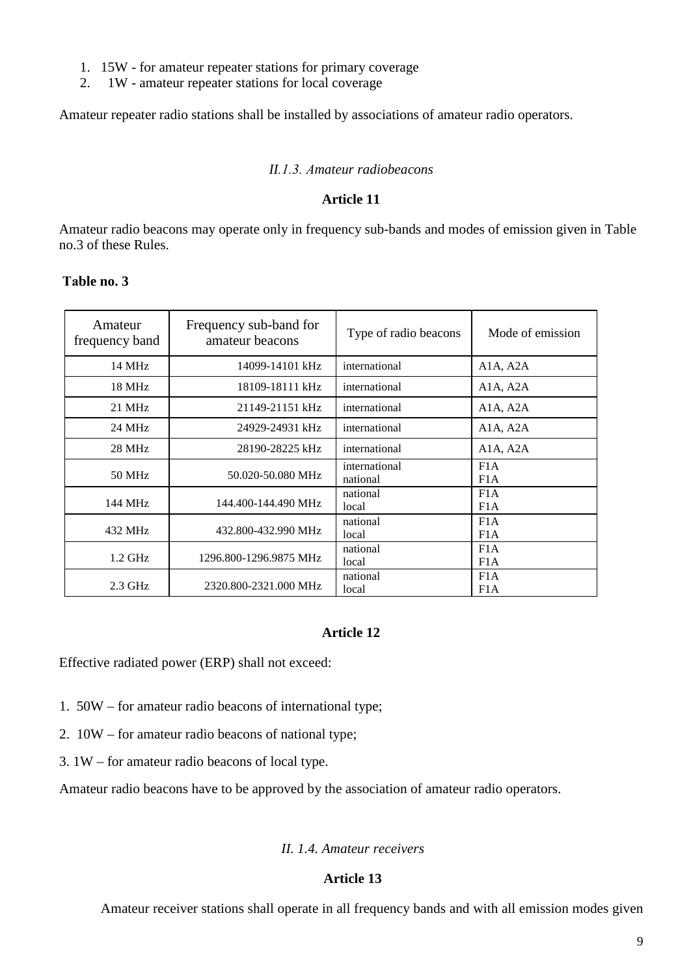- 1. 15W for amateur repeater stations for primary coverage<br>2. 1W amateur repeater stations for local coverage
- 2. 1W amateur repeater stations for local coverage

Amateur repeater radio stations shall be installed by associations of amateur radio operators.

# *II.1.3. Аmateur radiobeacons*

## **Article 11**

Amateur radio beacons may operate only in frequency sub-bands and modes of emission given in Table no.3 of these Rules.

| Amateur<br>frequency band | Frequency sub-band for<br>amateur beacons | Type of radio beacons     | Mode of emission                                            |
|---------------------------|-------------------------------------------|---------------------------|-------------------------------------------------------------|
| 14 MHz                    | 14099-14101 kHz                           | international             | A <sub>1</sub> A <sub>2</sub> A <sub>2</sub> A <sub>1</sub> |
| 18 MHz                    | 18109-18111 kHz                           | international             | A <sub>1</sub> A <sub>2</sub> A <sub>2</sub> A <sub>1</sub> |
| 21 MHz                    | 21149-21151 kHz                           | international             | A1A, A2A                                                    |
| 24 MHz                    | 24929-24931 kHz                           | international             | A <sub>1</sub> A <sub>2</sub> A <sub>2</sub> A <sub>1</sub> |
| 28 MHz                    | 28190-28225 kHz                           | international             | A <sub>1</sub> A <sub>2</sub> A <sub>2</sub> A <sub>1</sub> |
| 50 MHz                    | 50.020-50.080 MHz                         | international<br>national | F1A<br>F1A                                                  |
| 144 MHz                   | 144.400-144.490 MHz                       | national<br>local         | F1A<br>F1A                                                  |
| 432 MHz                   | 432.800-432.990 MHz                       | national<br>local         | F1A<br>F <sub>1</sub> A                                     |
| $1.2$ GHz                 | 1296.800-1296.9875 MHz                    | national<br>local         | F1A<br>F1A                                                  |
| $2.3$ GHz                 | 2320.800-2321.000 MHz                     | national<br>local         | F1A<br>F1A                                                  |

## **Таble no. 3**

# **Article 12**

Effective radiated power (ERP) shall not exceed:

- 1. 50W for amateur radio beacons of international type;
- 2. 10W for amateur radio beacons of national type;
- 3. 1W for amateur radio beacons of local type.

Amateur radio beacons have to be approved by the association of amateur radio operators.

## *II. 1.4. Amateur receivers*

## **Article 13**

Amateur receiver stations shall operate in all frequency bands and with all emission modes given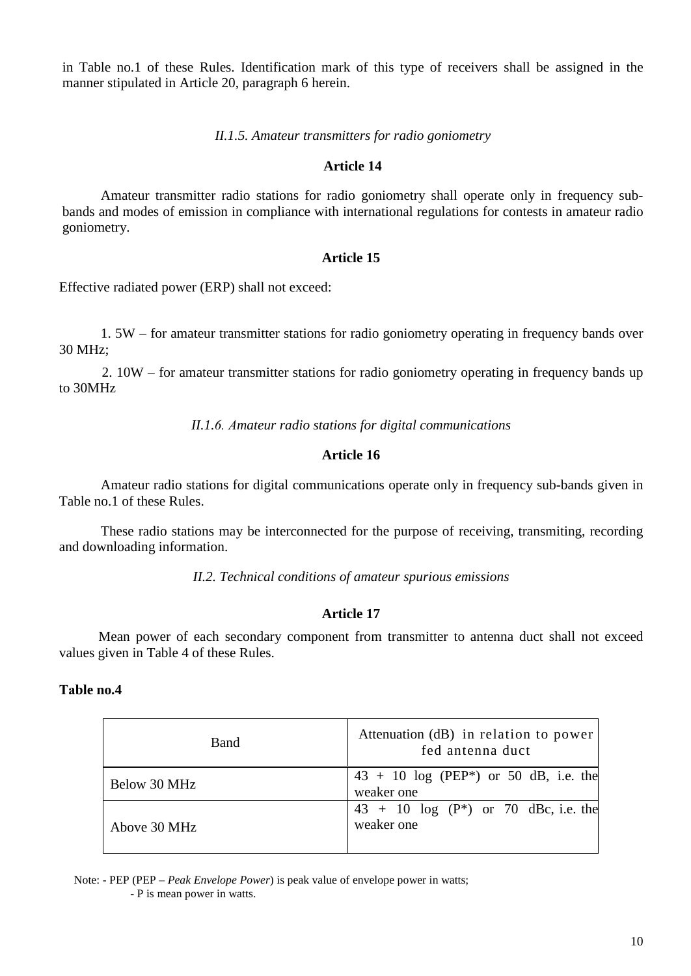in Table no.1 of these Rules. Identification mark of this type of receivers shall be assigned in the manner stipulated in Article 20, paragraph 6 herein.

## *II.1.5. Amateur transmitters for radio goniometry*

## **Article 14**

Amateur transmitter radio stations for radio goniometry shall operate only in frequency subbands and modes of emission in compliance with international regulations for contests in amateur radio goniometry.

## **Article 15**

Effective radiated power (ERP) shall not exceed:

1. 5W – for amateur transmitter stations for radio goniometry operating in frequency bands over 30 MHz;

2. 10W – for amateur transmitter stations for radio goniometry operating in frequency bands up to 30MHz

*II.1.6. Аmateur radio stations for digital communications*

# **Article 16**

Amateur radio stations for digital communications operate only in frequency sub-bands given in Table no.1 of these Rules.

These radio stations may be interconnected for the purpose of receiving, transmiting, recording and downloading information.

*II.2. Technical conditions of amateur spurious emissions*

## **Article 17**

Mean power of each secondary component from transmitter to antenna duct shall not exceed values given in Table 4 of these Rules.

## **Таble no.4**

| Band         | Attenuation (dB) in relation to power<br>fed antenna duct          |
|--------------|--------------------------------------------------------------------|
| Below 30 MHz | $43 + 10$ log (PEP <sup>*</sup> ) or 50 dB, i.e. the<br>weaker one |
| Above 30 MHz | $43 + 10 \log(P^*)$ or 70 dBc, i.e. the<br>weaker one              |

Note: - PEP (PEP – *Peak Envelope Power*) is peak value of envelope power in watts; - P is mean power in watts.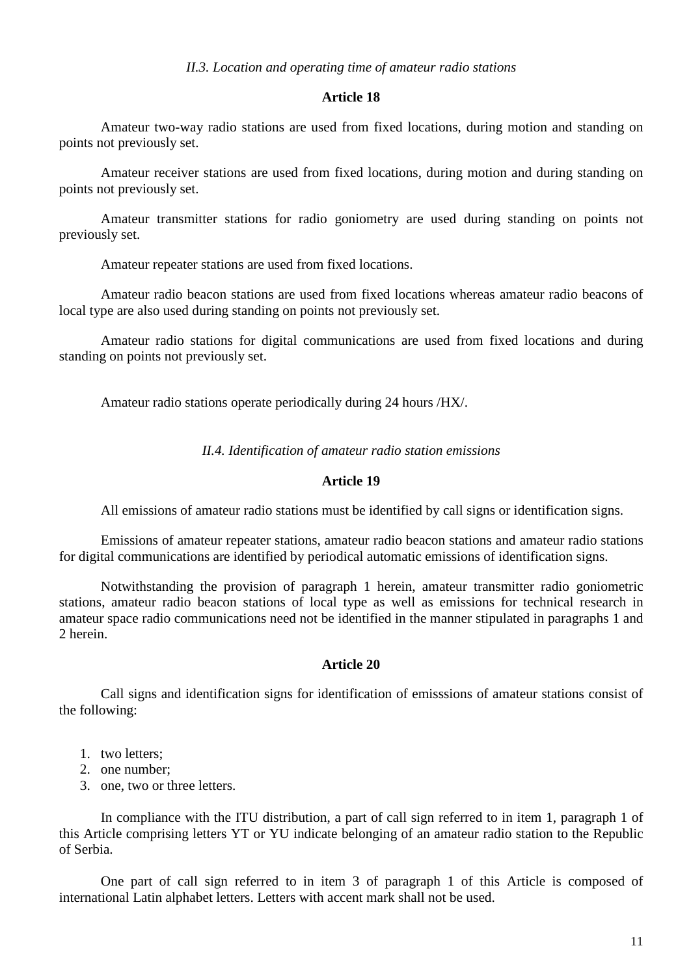#### *II.3. Location and operating time of amateur radio stations*

#### **Article 18**

Amateur two-way radio stations are used from fixed locations, during motion and standing on points not previously set.

Amateur receiver stations are used from fixed locations, during motion and during standing on points not previously set.

Amateur transmitter stations for radio goniometry are used during standing on points not previously set.

Amateur repeater stations are used from fixed locations.

Amateur radio beacon stations are used from fixed locations whereas amateur radio beacons of local type are also used during standing on points not previously set.

Amateur radio stations for digital communications are used from fixed locations and during standing on points not previously set.

Amateur radio stations operate periodically during 24 hours /HX/.

*II.4. Identification of amateur radio station emissions*

#### **Article 19**

All emissions of amateur radio stations must be identified by call signs or identification signs.

Emissions of amateur repeater stations, amateur radio beacon stations and amateur radio stations for digital communications are identified by periodical automatic emissions of identification signs.

Notwithstanding the provision of paragraph 1 herein, amateur transmitter radio goniometric stations, amateur radio beacon stations of local type as well as emissions for technical research in amateur space radio communications need not be identified in the manner stipulated in paragraphs 1 and 2 herein.

#### **Article 20**

Call signs and identification signs for identification of emisssions of amateur stations consist of the following:

- 1. two letters;
- 2. one number;
- 3. one, two or three letters.

In compliance with the ITU distribution, a part of call sign referred to in item 1, paragraph 1 of this Article comprising letters YT or YU indicate belonging of an amateur radio station to the Republic of Serbia.

One part of call sign referred to in item 3 of paragraph 1 of this Article is composed of international Latin alphabet letters. Letters with accent mark shall not be used.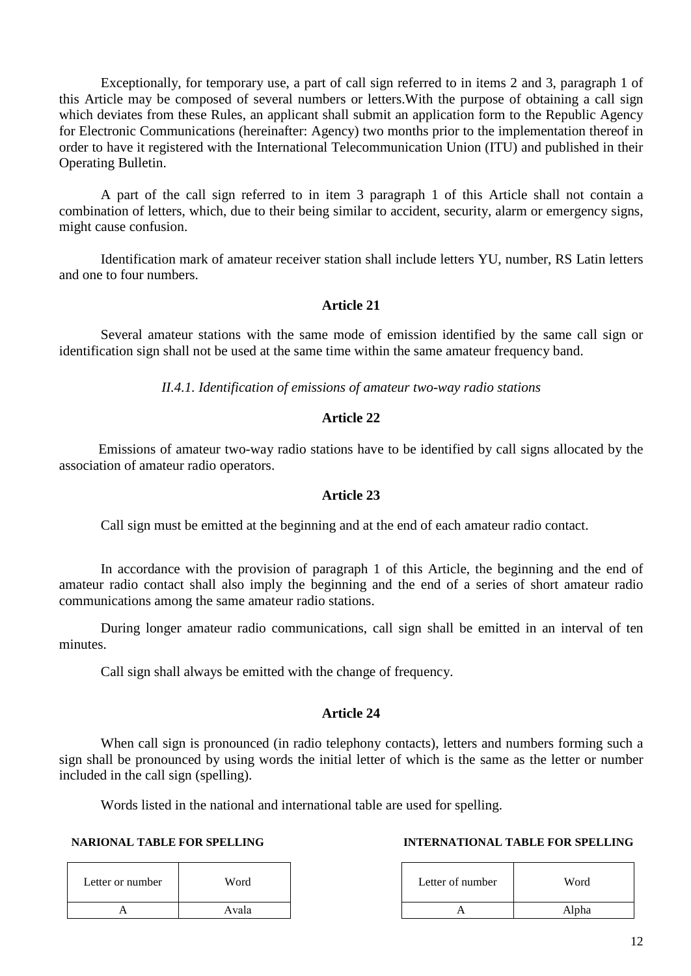Exceptionally, for temporary use, a part of call sign referred to in items 2 and 3, paragraph 1 of this Article may be composed of several numbers or letters.With the purpose of obtaining a call sign which deviates from these Rules, an applicant shall submit an application form to the Republic Agency for Electronic Communications (hereinafter: Agency) two months prior to the implementation thereof in order to have it registered with the International Telecommunication Union (ITU) and published in their Operating Bulletin.

A part of the call sign referred to in item 3 paragraph 1 of this Article shall not contain a combination of letters, which, due to their being similar to accident, security, alarm or emergency signs, might cause confusion.

Identification mark of amateur receiver station shall include letters YU, number, RS Latin letters and one to four numbers.

## **Article 21**

Several amateur stations with the same mode of emission identified by the same call sign or identification sign shall not be used at the same time within the same amateur frequency band.

*II.4.1. Identification of emissions of amateur two-way radio stations*

## **Article 22**

Emissions of amateur two-way radio stations have to be identified by call signs allocated by the association of amateur radio operators.

## **Article 23**

Call sign must be emitted at the beginning and at the end of each amateur radio contact.

In accordance with the provision of paragraph 1 of this Article, the beginning and the end of amateur radio contact shall also imply the beginning and the end of a series of short amateur radio communications among the same amateur radio stations.

During longer amateur radio communications, call sign shall be emitted in an interval of ten minutes.

Call sign shall always be emitted with the change of frequency.

## **Article 24**

When call sign is pronounced (in radio telephony contacts), letters and numbers forming such a sign shall be pronounced by using words the initial letter of which is the same as the letter or number included in the call sign (spelling).

Words listed in the national and international table are used for spelling.

| Letter or number | Word  | Letter of number | Word  |
|------------------|-------|------------------|-------|
|                  | Avala |                  | Alpha |

## **NARIONAL TABLE FOR SPELLING INTERNATIONAL TABLE FOR SPELLING**

| r number | Word  | Letter of number | Word  |
|----------|-------|------------------|-------|
| Α        | Avala |                  | Alpha |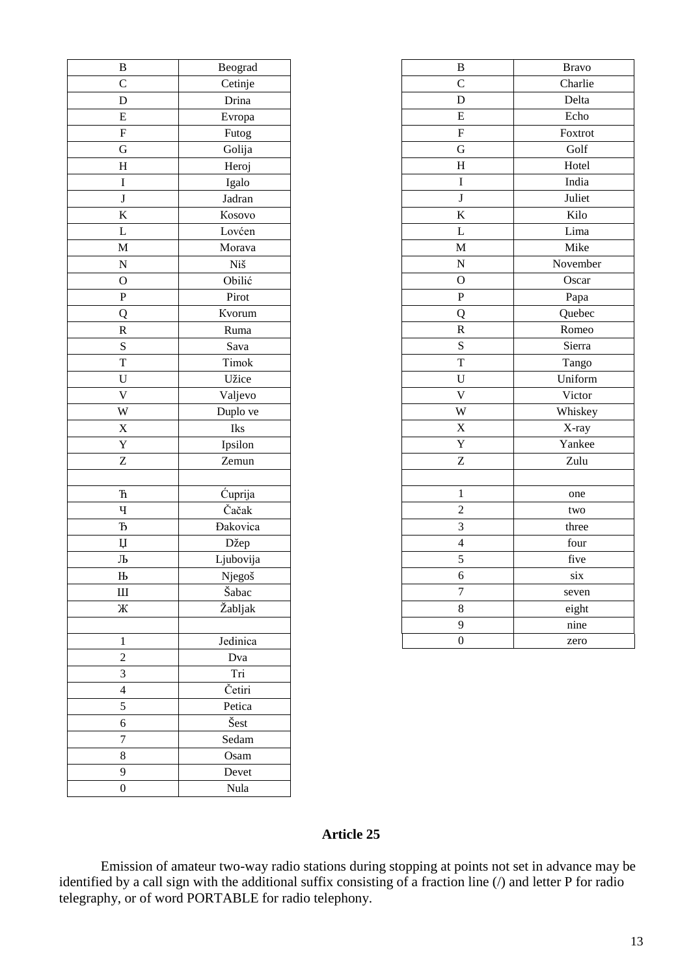| B                       | Beograd                 |  |
|-------------------------|-------------------------|--|
| $\mathbf C$             | Cetinje                 |  |
| D                       | Drina                   |  |
| E                       | Evropa                  |  |
| F                       | Futog                   |  |
| G                       | Golija                  |  |
| $\overline{\mathrm{H}}$ | Heroj                   |  |
| I                       | Igalo                   |  |
| J                       | Jadran                  |  |
| K                       | Kosovo                  |  |
| L                       | Lovćen                  |  |
| M                       | Morava                  |  |
| $\overline{\bf N}$      | Niš                     |  |
| $\overline{O}$          | Obilić                  |  |
| $\overline{\mathrm{P}}$ | Pirot                   |  |
| Q                       | Kvorum                  |  |
| $\overline{\text{R}}$   | Ruma                    |  |
| S                       | Sava                    |  |
| T                       | Timok                   |  |
| U                       | Užice                   |  |
| $\overline{\mathsf{V}}$ | Valjevo                 |  |
| W                       | Duplo ve                |  |
| X                       | Iks                     |  |
| $\overline{\text{Y}}$   | Ipsilon                 |  |
| Z                       | Zemun                   |  |
|                         |                         |  |
| ħ                       | Cuprija                 |  |
| Ч                       | Čačak                   |  |
| $\mathbf{\bar{b}}$      | <b>Dakovica</b>         |  |
| Ų                       | Džep                    |  |
| Љ                       | Ljubovija               |  |
| $\mathbf{H}$            | Njegoš                  |  |
| Ш                       | Šabac                   |  |
| Ж                       | Žabljak                 |  |
|                         |                         |  |
| 1                       | Jedinica                |  |
| $\overline{c}$          | Dva                     |  |
| 3                       | Tri                     |  |
| $\overline{4}$          | Četiri                  |  |
| 5                       | Petica                  |  |
| 6                       | $\mathrm{\check{S}est}$ |  |
| 7                       | Sedam                   |  |
| 8                       | Osam                    |  |
| 9                       | Devet                   |  |
| $\boldsymbol{0}$        | Nula                    |  |
|                         |                         |  |

| $\, {\bf B}$              | Beograd         | $\, {\bf B}$            | <b>Bravo</b> |
|---------------------------|-----------------|-------------------------|--------------|
| $\mathbf C$               | Cetinje         | $\mathbf C$             | Charlie      |
| $\overline{D}$            | Drina           | D                       | Delta        |
| $\overline{\mathrm{E}}$   | Evropa          | ${\bf E}$               | Echo         |
| $\boldsymbol{\mathrm{F}}$ | Futog           | ${\bf F}$               | Foxtrot      |
| ${\bf G}$                 | Golija          | G                       | Golf         |
| $\boldsymbol{\mathrm{H}}$ | Heroj           | $H_{\rm}$               | Hotel        |
| $\bf I$                   | Igalo           | $\bf I$                 | India        |
| $\overline{\mathbf{J}}$   | Jadran          | $\bf J$                 | Juliet       |
| $\overline{\mathbf{K}}$   | Kosovo          | $\bf K$                 | Kilo         |
| $\overline{L}$            | Lovćen          | $\mathbf L$             | Lima         |
| $\overline{\mathbf{M}}$   | Morava          | M                       | Mike         |
| $\overline{\mathbf{N}}$   | Niš             | $\overline{N}$          | November     |
| $\overline{0}$            | Obilić          | $\mathbf{O}$            | Oscar        |
| $\overline{P}$            | Pirot           | ${\bf P}$               | Papa         |
| $\overline{Q}$            | Kvorum          | Q                       | Quebec       |
| $\overline{\mathbf{R}}$   | Ruma            | ${\bf R}$               | Romeo        |
| ${\bf S}$                 | Sava            | ${\bf S}$               | Sierra       |
| $\mathbf T$               | Timok           | T                       | Tango        |
| ${\bf U}$                 | Užice           | $\mathbf U$             | Uniform      |
| $\overline{\text{V}}$     | Valjevo         | $\overline{\mathsf{V}}$ | Victor       |
| W                         | Duplo ve        | W                       | Whiskey      |
| $\overline{\textbf{X}}$   | Iks             | X                       | X-ray        |
| $\overline{\textbf{Y}}$   | Ipsilon         | Y                       | Yankee       |
| $\overline{z}$            | Zemun           | Z                       | Zulu         |
|                           |                 |                         |              |
| $\overline{\text{h}}$     | Ćuprija         | $\mathbf{1}$            | one          |
| $\mathbf{q}$              | Čačak           | $\overline{2}$          | two          |
| $\overline{b}$            | <b>Đakovica</b> | 3                       | three        |
| $\,\rm \mu$               | Džep            | $\overline{4}$          | four         |
| Љ                         | Ljubovija       | 5                       | five         |
| $\mathbf H$               | Njegoš          | 6                       | six          |
| Ш                         | Šabac           | $\overline{7}$          | seven        |
| Ж                         | Žabljak         | $\,8\,$                 | eight        |
|                           |                 | 9                       | nine         |
| $\mathbf{1}$              | Jedinica        | $\boldsymbol{0}$        | zero         |

Emission of amateur two-way radio stations during stopping at points not set in advance may be identified by a call sign with the additional suffix consisting of a fraction line (/) and letter P for radio telegraphy, or of word PORTABLE for radio telephony.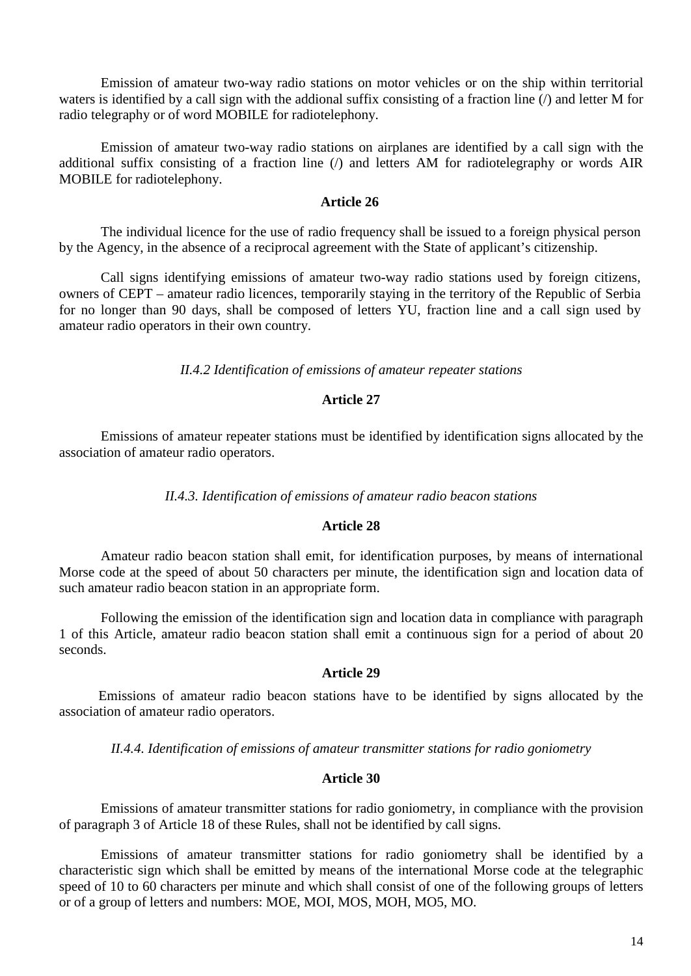Emission of amateur two-way radio stations on motor vehicles or on the ship within territorial waters is identified by a call sign with the addional suffix consisting of a fraction line (/) and letter M for radio telegraphy or of word MOBILE for radiotelephony.

Emission of amateur two-way radio stations on airplanes are identified by a call sign with the additional suffix consisting of a fraction line (/) and letters AM for radiotelegraphy or words AIR MOBILE for radiotelephony.

## **Article 26**

The individual licence for the use of radio frequency shall be issued to a foreign physical person by the Agency, in the absence of a reciprocal agreement with the State of applicant's citizenship.

Call signs identifying emissions of amateur two-way radio stations used by foreign citizens, owners of CEPT – amateur radio licences, temporarily staying in the territory of the Republic of Serbia for no longer than 90 days, shall be composed of letters YU, fraction line and a call sign used by amateur radio operators in their own country.

*II.4.2 Identification of emissions of amateur repeater stations*

## **Article 27**

Emissions of amateur repeater stations must be identified by identification signs allocated by the association of amateur radio operators.

#### *II.4.3. Identification of emissions of amateur radio beacon stations*

## **Article 28**

Amateur radio beacon station shall emit, for identification purposes, by means of international Morse code at the speed of about 50 characters per minute, the identification sign and location data of such amateur radio beacon station in an appropriate form.

Following the emission of the identification sign and location data in compliance with paragraph 1 of this Article, amateur radio beacon station shall emit a continuous sign for a period of about 20 seconds.

## **Article 29**

Emissions of amateur radio beacon stations have to be identified by signs allocated by the association of amateur radio operators.

*II.4.4. Identification of emissions of amateur transmitter stations for radio goniometry*

#### **Article 30**

Emissions of amateur transmitter stations for radio goniometry, in compliance with the provision of paragraph 3 of Article 18 of these Rules, shall not be identified by call signs.

Emissions of amateur transmitter stations for radio goniometry shall be identified by a characteristic sign which shall be emitted by means of the international Morse code at the telegraphic speed of 10 to 60 characters per minute and which shall consist of one of the following groups of letters or of a group of letters and numbers: MOE, MOI, MOS, MOH, MO5, MO.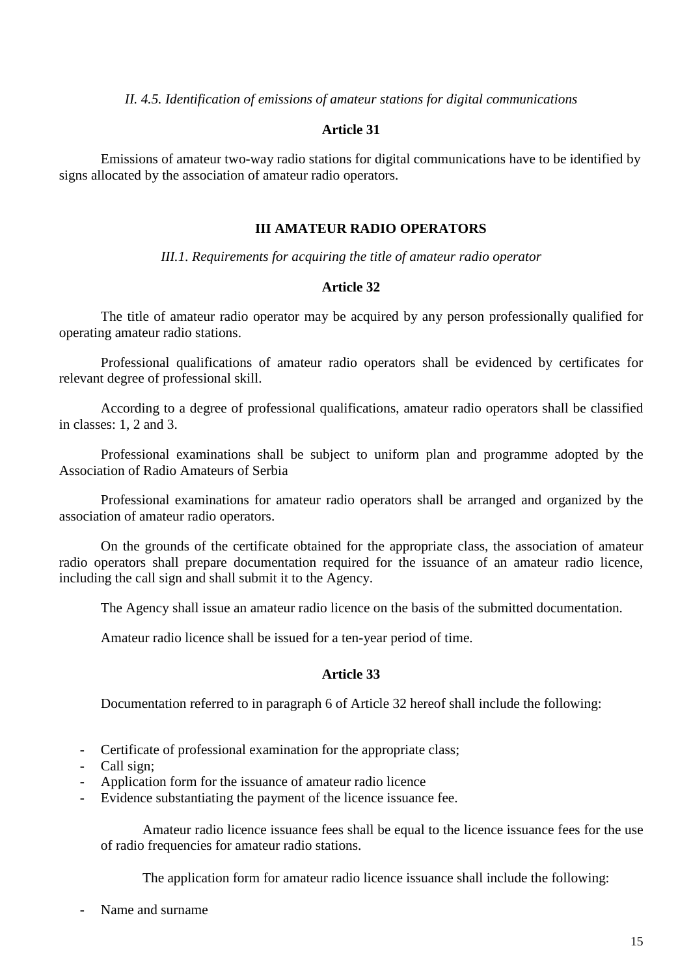*II. 4.5. Identification of emissions of amateur stations for digital communications*

#### **Article 31**

Emissions of amateur two-way radio stations for digital communications have to be identified by signs allocated by the association of amateur radio operators.

#### **III AMATEUR RADIO OPERATORS**

*III.1. Requirements for acquiring the title of amateur radio operator*

## **Article 32**

The title of amateur radio operator may be acquired by any person professionally qualified for operating amateur radio stations.

Professional qualifications of amateur radio operators shall be evidenced by certificates for relevant degree of professional skill.

According to a degree of professional qualifications, amateur radio operators shall be classified in classes: 1, 2 and 3.

Professional examinations shall be subject to uniform plan and programme adopted by the Association of Radio Amateurs of Serbia

Professional examinations for amateur radio operators shall be arranged and organized by the association of amateur radio operators.

On the grounds of the certificate obtained for the appropriate class, the association of amateur radio operators shall prepare documentation required for the issuance of an amateur radio licence, including the call sign and shall submit it to the Agency.

The Agency shall issue an amateur radio licence on the basis of the submitted documentation.

Amateur radio licence shall be issued for a ten-year period of time.

### **Article 33**

Documentation referred to in paragraph 6 of Article 32 hereof shall include the following:

- Certificate of professional examination for the appropriate class;
- Call sign:
- Application form for the issuance of amateur radio licence
- Evidence substantiating the payment of the licence issuance fee.

Amateur radio licence issuance fees shall be equal to the licence issuance fees for the use of radio frequencies for amateur radio stations.

The application form for amateur radio licence issuance shall include the following:

Name and surname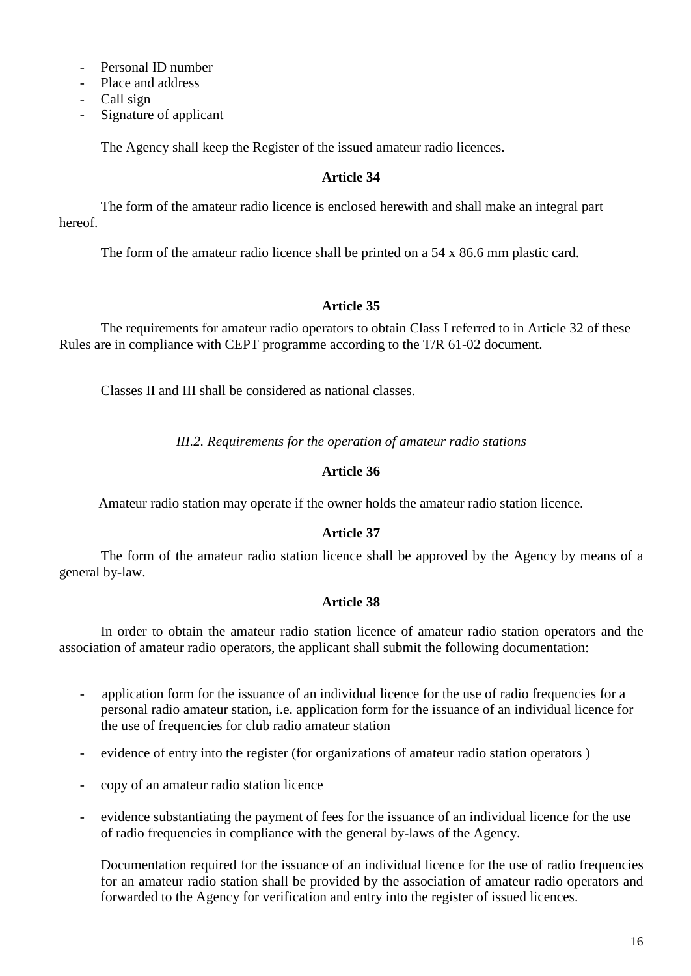- Personal ID number
- Place and address
- Call sign
- Signature of applicant

The Agency shall keep the Register of the issued amateur radio licences.

# **Article 34**

The form of the amateur radio licence is enclosed herewith and shall make an integral part hereof.

The form of the amateur radio licence shall be printed on a 54 x 86.6 mm plastic card.

## **Article 35**

The requirements for amateur radio operators to obtain Class I referred to in Article 32 of these Rules are in compliance with CEPT programme according to the T/R 61-02 document.

Classes II and III shall be considered as national classes.

*III.2. Requirements for the operation of amateur radio stations*

# **Article 36**

Amateur radio station may operate if the owner holds the amateur radio station licence.

# **Article 37**

The form of the amateur radio station licence shall be approved by the Agency by means of a general by-law.

## **Article 38**

In order to obtain the amateur radio station licence of amateur radio station operators and the association of amateur radio operators, the applicant shall submit the following documentation:

- application form for the issuance of an individual licence for the use of radio frequencies for a personal radio amateur station, i.e. application form for the issuance of an individual licence for the use of frequencies for club radio amateur station
- evidence of entry into the register (for organizations of amateur radio station operators)
- copy of an amateur radio station licence
- evidence substantiating the payment of fees for the issuance of an individual licence for the use of radio frequencies in compliance with the general by-laws of the Agency.

Documentation required for the issuance of an individual licence for the use of radio frequencies for an amateur radio station shall be provided by the association of amateur radio operators and forwarded to the Agency for verification and entry into the register of issued licences.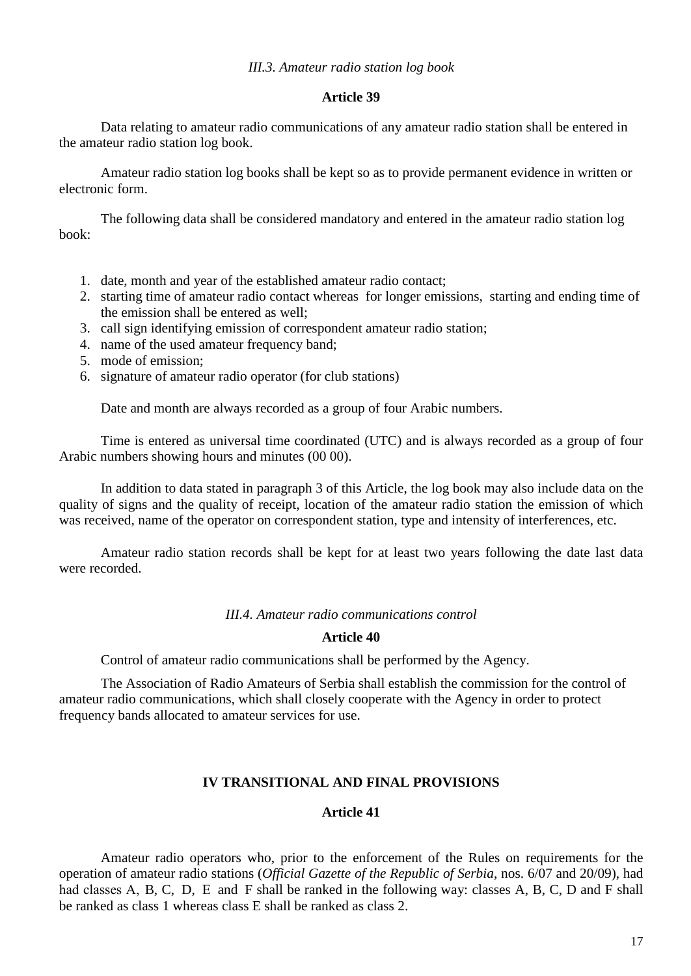Data relating to amateur radio communications of any amateur radio station shall be entered in the amateur radio station log book.

Amateur radio station log books shall be kept so as to provide permanent evidence in written or electronic form.

The following data shall be considered mandatory and entered in the amateur radio station log book:

- 1. date, month and year of the established amateur radio contact;
- 2. starting time of amateur radio contact whereas for longer emissions, starting and ending time of the emission shall be entered as well;
- 3. call sign identifying emission of correspondent amateur radio station;
- 4. name of the used amateur frequency band;
- 5. mode of emission;
- 6. signature of amateur radio operator (for club stations)

Date and month are always recorded as a group of four Arabic numbers.

Time is entered as universal time coordinated (UTC) and is always recorded as a group of four Arabic numbers showing hours and minutes (00 00).

In addition to data stated in paragraph 3 of this Article, the log book may also include data on the quality of signs and the quality of receipt, location of the amateur radio station the emission of which was received, name of the operator on correspondent station, type and intensity of interferences, etc.

Amateur radio station records shall be kept for at least two years following the date last data were recorded.

#### *III.4. Amateur radio communications control*

#### **Article 40**

Control of amateur radio communications shall be performed by the Agency.

The Association of Radio Amateurs of Serbia shall establish the commission for the control of amateur radio communications, which shall closely cooperate with the Agency in order to protect frequency bands allocated to amateur services for use.

## **IV TRANSITIONAL AND FINAL PROVISIONS**

## **Article 41**

Amateur radio operators who, prior to the enforcement of the Rules on requirements for the operation of amateur radio stations (*Official Gazette of the Republic of Serbia*, nos. 6/07 and 20/09), had had classes A, B, C, D, E and F shall be ranked in the following way: classes A, B, C, D and F shall be ranked as class 1 whereas class E shall be ranked as class 2.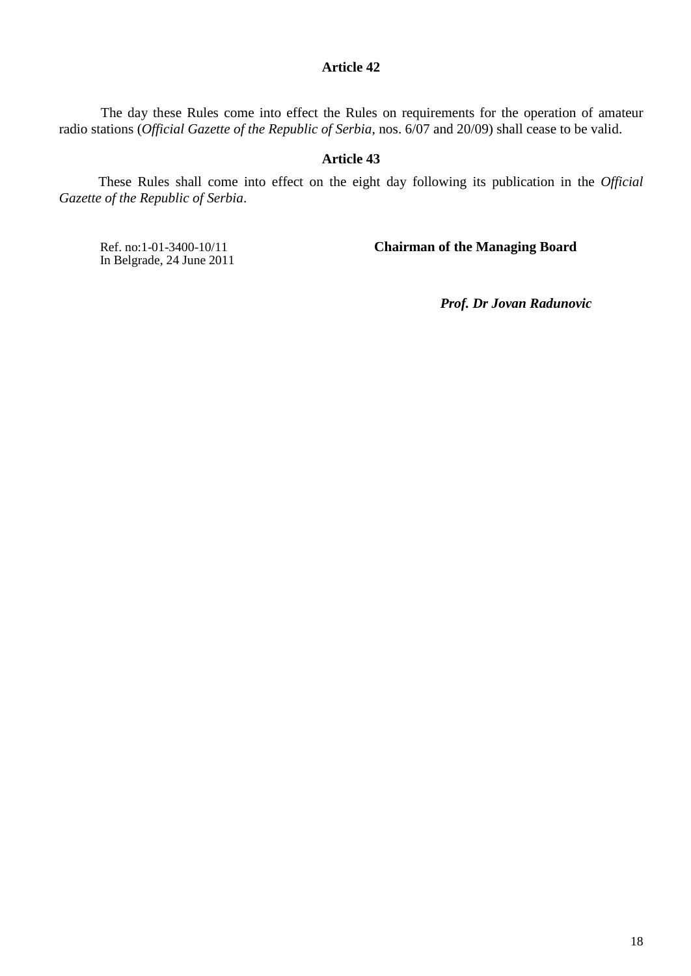The day these Rules come into effect the Rules on requirements for the operation of amateur radio stations (*Official Gazette of the Republic of Serbia*, nos. 6/07 and 20/09) shall cease to be valid.

## **Article 43**

These Rules shall come into effect on the eight day following its publication in the *Official Gazette of the Republic of Serbia*.

In Belgrade, 24 June 2011

Ref. no:1-01-3400-10/11 **Chairman of the Managing Board**

*Prof. Dr Jovan Radunovic*